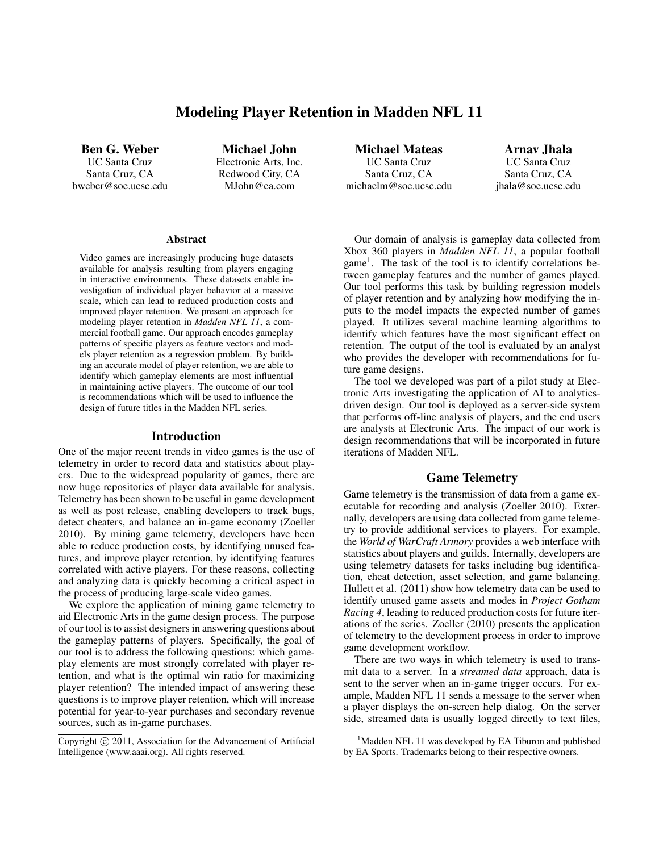# Modeling Player Retention in Madden NFL 11

Ben G. Weber UC Santa Cruz Santa Cruz, CA bweber@soe.ucsc.edu

Michael John Electronic Arts, Inc. Redwood City, CA MJohn@ea.com

#### **Abstract**

Video games are increasingly producing huge datasets available for analysis resulting from players engaging in interactive environments. These datasets enable investigation of individual player behavior at a massive scale, which can lead to reduced production costs and improved player retention. We present an approach for modeling player retention in *Madden NFL 11*, a commercial football game. Our approach encodes gameplay patterns of specific players as feature vectors and models player retention as a regression problem. By building an accurate model of player retention, we are able to identify which gameplay elements are most influential in maintaining active players. The outcome of our tool is recommendations which will be used to influence the design of future titles in the Madden NFL series.

#### Introduction

One of the major recent trends in video games is the use of telemetry in order to record data and statistics about players. Due to the widespread popularity of games, there are now huge repositories of player data available for analysis. Telemetry has been shown to be useful in game development as well as post release, enabling developers to track bugs, detect cheaters, and balance an in-game economy (Zoeller 2010). By mining game telemetry, developers have been able to reduce production costs, by identifying unused features, and improve player retention, by identifying features correlated with active players. For these reasons, collecting and analyzing data is quickly becoming a critical aspect in the process of producing large-scale video games.

We explore the application of mining game telemetry to aid Electronic Arts in the game design process. The purpose of our tool is to assist designers in answering questions about the gameplay patterns of players. Specifically, the goal of our tool is to address the following questions: which gameplay elements are most strongly correlated with player retention, and what is the optimal win ratio for maximizing player retention? The intended impact of answering these questions is to improve player retention, which will increase potential for year-to-year purchases and secondary revenue sources, such as in-game purchases.

Michael Mateas UC Santa Cruz Santa Cruz, CA michaelm@soe.ucsc.edu

Arnav Jhala UC Santa Cruz Santa Cruz, CA jhala@soe.ucsc.edu

Our domain of analysis is gameplay data collected from Xbox 360 players in *Madden NFL 11*, a popular football game<sup>1</sup>. The task of the tool is to identify correlations between gameplay features and the number of games played. Our tool performs this task by building regression models of player retention and by analyzing how modifying the inputs to the model impacts the expected number of games played. It utilizes several machine learning algorithms to identify which features have the most significant effect on retention. The output of the tool is evaluated by an analyst who provides the developer with recommendations for future game designs.

The tool we developed was part of a pilot study at Electronic Arts investigating the application of AI to analyticsdriven design. Our tool is deployed as a server-side system that performs off-line analysis of players, and the end users are analysts at Electronic Arts. The impact of our work is design recommendations that will be incorporated in future iterations of Madden NFL.

# Game Telemetry

Game telemetry is the transmission of data from a game executable for recording and analysis (Zoeller 2010). Externally, developers are using data collected from game telemetry to provide additional services to players. For example, the *World of WarCraft Armory* provides a web interface with statistics about players and guilds. Internally, developers are using telemetry datasets for tasks including bug identification, cheat detection, asset selection, and game balancing. Hullett et al. (2011) show how telemetry data can be used to identify unused game assets and modes in *Project Gotham Racing 4*, leading to reduced production costs for future iterations of the series. Zoeller (2010) presents the application of telemetry to the development process in order to improve game development workflow.

There are two ways in which telemetry is used to transmit data to a server. In a *streamed data* approach, data is sent to the server when an in-game trigger occurs. For example, Madden NFL 11 sends a message to the server when a player displays the on-screen help dialog. On the server side, streamed data is usually logged directly to text files,

Copyright (c) 2011, Association for the Advancement of Artificial Intelligence (www.aaai.org). All rights reserved.

<sup>&</sup>lt;sup>1</sup>Madden NFL 11 was developed by EA Tiburon and published by EA Sports. Trademarks belong to their respective owners.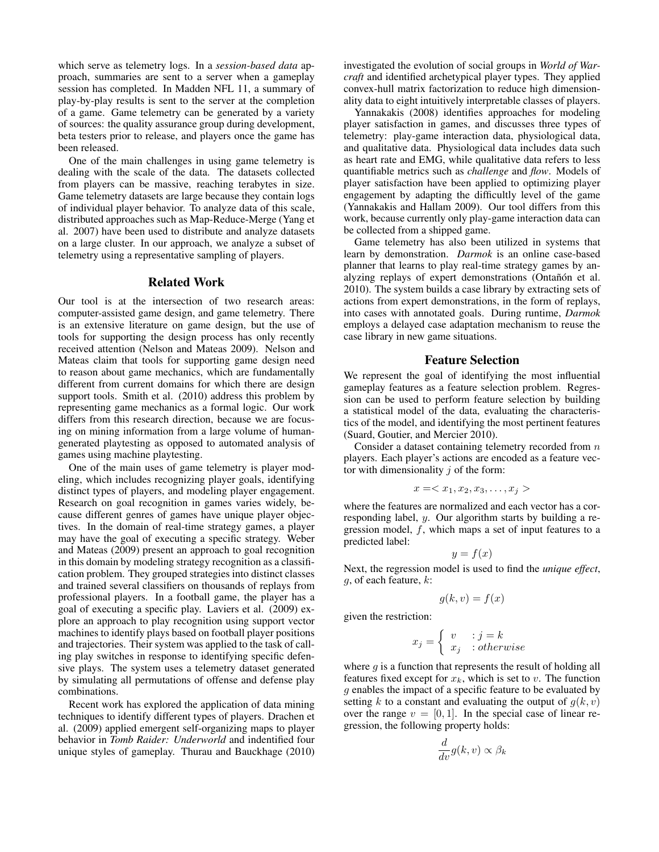which serve as telemetry logs. In a *session-based data* approach, summaries are sent to a server when a gameplay session has completed. In Madden NFL 11, a summary of play-by-play results is sent to the server at the completion of a game. Game telemetry can be generated by a variety of sources: the quality assurance group during development, beta testers prior to release, and players once the game has been released.

One of the main challenges in using game telemetry is dealing with the scale of the data. The datasets collected from players can be massive, reaching terabytes in size. Game telemetry datasets are large because they contain logs of individual player behavior. To analyze data of this scale, distributed approaches such as Map-Reduce-Merge (Yang et al. 2007) have been used to distribute and analyze datasets on a large cluster. In our approach, we analyze a subset of telemetry using a representative sampling of players.

### Related Work

Our tool is at the intersection of two research areas: computer-assisted game design, and game telemetry. There is an extensive literature on game design, but the use of tools for supporting the design process has only recently received attention (Nelson and Mateas 2009). Nelson and Mateas claim that tools for supporting game design need to reason about game mechanics, which are fundamentally different from current domains for which there are design support tools. Smith et al. (2010) address this problem by representing game mechanics as a formal logic. Our work differs from this research direction, because we are focusing on mining information from a large volume of humangenerated playtesting as opposed to automated analysis of games using machine playtesting.

One of the main uses of game telemetry is player modeling, which includes recognizing player goals, identifying distinct types of players, and modeling player engagement. Research on goal recognition in games varies widely, because different genres of games have unique player objectives. In the domain of real-time strategy games, a player may have the goal of executing a specific strategy. Weber and Mateas (2009) present an approach to goal recognition in this domain by modeling strategy recognition as a classification problem. They grouped strategies into distinct classes and trained several classifiers on thousands of replays from professional players. In a football game, the player has a goal of executing a specific play. Laviers et al. (2009) explore an approach to play recognition using support vector machines to identify plays based on football player positions and trajectories. Their system was applied to the task of calling play switches in response to identifying specific defensive plays. The system uses a telemetry dataset generated by simulating all permutations of offense and defense play combinations.

Recent work has explored the application of data mining techniques to identify different types of players. Drachen et al. (2009) applied emergent self-organizing maps to player behavior in *Tomb Raider: Underworld* and indentified four unique styles of gameplay. Thurau and Bauckhage (2010)

investigated the evolution of social groups in *World of Warcraft* and identified archetypical player types. They applied convex-hull matrix factorization to reduce high dimensionality data to eight intuitively interpretable classes of players.

Yannakakis (2008) identifies approaches for modeling player satisfaction in games, and discusses three types of telemetry: play-game interaction data, physiological data, and qualitative data. Physiological data includes data such as heart rate and EMG, while qualitative data refers to less quantifiable metrics such as *challenge* and *flow*. Models of player satisfaction have been applied to optimizing player engagement by adapting the difficultly level of the game (Yannakakis and Hallam 2009). Our tool differs from this work, because currently only play-game interaction data can be collected from a shipped game.

Game telemetry has also been utilized in systems that learn by demonstration. *Darmok* is an online case-based planner that learns to play real-time strategy games by analyzing replays of expert demonstrations (Ontañón et al. 2010). The system builds a case library by extracting sets of actions from expert demonstrations, in the form of replays, into cases with annotated goals. During runtime, *Darmok* employs a delayed case adaptation mechanism to reuse the case library in new game situations.

## Feature Selection

We represent the goal of identifying the most influential gameplay features as a feature selection problem. Regression can be used to perform feature selection by building a statistical model of the data, evaluating the characteristics of the model, and identifying the most pertinent features (Suard, Goutier, and Mercier 2010).

Consider a dataset containing telemetry recorded from  $n$ players. Each player's actions are encoded as a feature vector with dimensionality  $j$  of the form:

$$
x =
$$

where the features are normalized and each vector has a corresponding label, y. Our algorithm starts by building a regression model, f, which maps a set of input features to a predicted label:

$$
y = f(x)
$$

Next, the regression model is used to find the *unique effect*,  $g$ , of each feature,  $k$ :

$$
g(k, v) = f(x)
$$

given the restriction:

$$
x_j = \begin{cases} v & \text{: } j = k \\ x_j & \text{: } otherwise \end{cases}
$$

where  $q$  is a function that represents the result of holding all features fixed except for  $x_k$ , which is set to v. The function g enables the impact of a specific feature to be evaluated by setting k to a constant and evaluating the output of  $q(k, v)$ over the range  $v = [0, 1]$ . In the special case of linear regression, the following property holds:

$$
\frac{d}{dv}g(k,v) \propto \beta_k
$$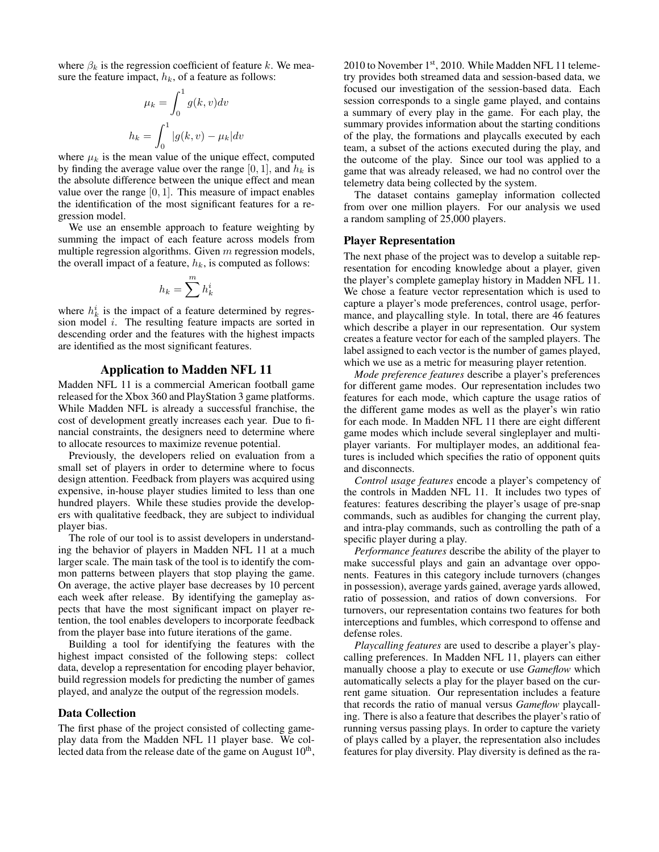where  $\beta_k$  is the regression coefficient of feature k. We measure the feature impact,  $h_k$ , of a feature as follows:

$$
\mu_k = \int_0^1 g(k, v) dv
$$

$$
h_k = \int_0^1 |g(k, v) - \mu_k| dv
$$

where  $\mu_k$  is the mean value of the unique effect, computed by finding the average value over the range [0, 1], and  $h_k$  is the absolute difference between the unique effect and mean value over the range  $[0, 1]$ . This measure of impact enables the identification of the most significant features for a regression model.

We use an ensemble approach to feature weighting by summing the impact of each feature across models from multiple regression algorithms. Given  $m$  regression models, the overall impact of a feature,  $h_k$ , is computed as follows:

$$
h_k = \sum^m h_k^i
$$

where  $h_k^i$  is the impact of a feature determined by regression model i. The resulting feature impacts are sorted in descending order and the features with the highest impacts are identified as the most significant features.

## Application to Madden NFL 11

Madden NFL 11 is a commercial American football game released for the Xbox 360 and PlayStation 3 game platforms. While Madden NFL is already a successful franchise, the cost of development greatly increases each year. Due to financial constraints, the designers need to determine where to allocate resources to maximize revenue potential.

Previously, the developers relied on evaluation from a small set of players in order to determine where to focus design attention. Feedback from players was acquired using expensive, in-house player studies limited to less than one hundred players. While these studies provide the developers with qualitative feedback, they are subject to individual player bias.

The role of our tool is to assist developers in understanding the behavior of players in Madden NFL 11 at a much larger scale. The main task of the tool is to identify the common patterns between players that stop playing the game. On average, the active player base decreases by 10 percent each week after release. By identifying the gameplay aspects that have the most significant impact on player retention, the tool enables developers to incorporate feedback from the player base into future iterations of the game.

Building a tool for identifying the features with the highest impact consisted of the following steps: collect data, develop a representation for encoding player behavior, build regression models for predicting the number of games played, and analyze the output of the regression models.

### Data Collection

The first phase of the project consisted of collecting gameplay data from the Madden NFL 11 player base. We collected data from the release date of the game on August  $10<sup>th</sup>$ ,

2010 to November 1st, 2010. While Madden NFL 11 telemetry provides both streamed data and session-based data, we focused our investigation of the session-based data. Each session corresponds to a single game played, and contains a summary of every play in the game. For each play, the summary provides information about the starting conditions of the play, the formations and playcalls executed by each team, a subset of the actions executed during the play, and the outcome of the play. Since our tool was applied to a game that was already released, we had no control over the telemetry data being collected by the system.

The dataset contains gameplay information collected from over one million players. For our analysis we used a random sampling of 25,000 players.

#### Player Representation

The next phase of the project was to develop a suitable representation for encoding knowledge about a player, given the player's complete gameplay history in Madden NFL 11. We chose a feature vector representation which is used to capture a player's mode preferences, control usage, performance, and playcalling style. In total, there are 46 features which describe a player in our representation. Our system creates a feature vector for each of the sampled players. The label assigned to each vector is the number of games played, which we use as a metric for measuring player retention.

*Mode preference features* describe a player's preferences for different game modes. Our representation includes two features for each mode, which capture the usage ratios of the different game modes as well as the player's win ratio for each mode. In Madden NFL 11 there are eight different game modes which include several singleplayer and multiplayer variants. For multiplayer modes, an additional features is included which specifies the ratio of opponent quits and disconnects.

*Control usage features* encode a player's competency of the controls in Madden NFL 11. It includes two types of features: features describing the player's usage of pre-snap commands, such as audibles for changing the current play, and intra-play commands, such as controlling the path of a specific player during a play.

*Performance features* describe the ability of the player to make successful plays and gain an advantage over opponents. Features in this category include turnovers (changes in possession), average yards gained, average yards allowed, ratio of possession, and ratios of down conversions. For turnovers, our representation contains two features for both interceptions and fumbles, which correspond to offense and defense roles.

*Playcalling features* are used to describe a player's playcalling preferences. In Madden NFL 11, players can either manually choose a play to execute or use *Gameflow* which automatically selects a play for the player based on the current game situation. Our representation includes a feature that records the ratio of manual versus *Gameflow* playcalling. There is also a feature that describes the player's ratio of running versus passing plays. In order to capture the variety of plays called by a player, the representation also includes features for play diversity. Play diversity is defined as the ra-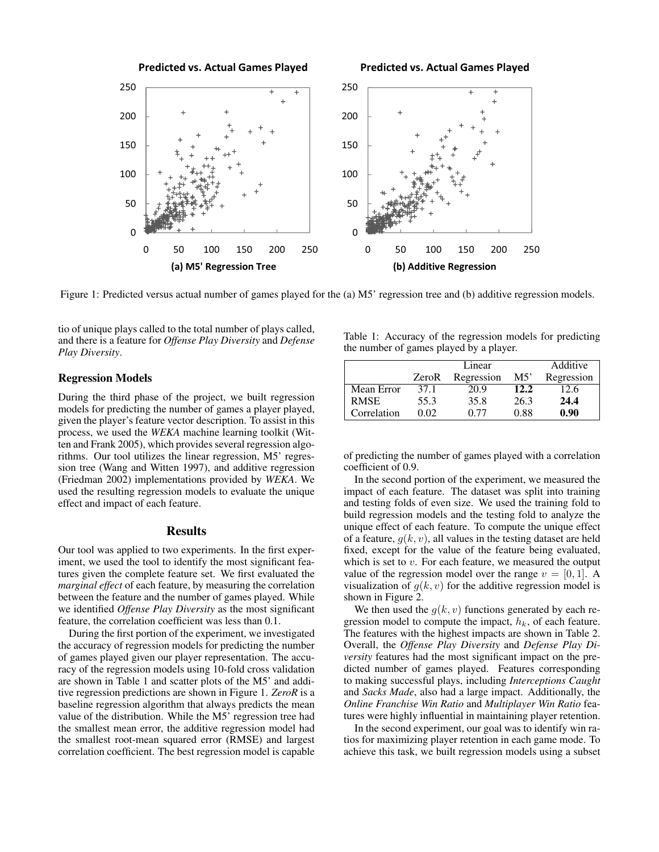

Figure 1: Predicted versus actual number of games played for the (a) M5' regression tree and (b) additive regression models.

tio of unique plays called to the total number of plays called, and there is a feature for *Offense Play Diversity* and *Defense Play Diversity*.

## Regression Models

During the third phase of the project, we built regression models for predicting the number of games a player played, given the player's feature vector description. To assist in this process, we used the *WEKA* machine learning toolkit (Witten and Frank 2005), which provides several regression algorithms. Our tool utilizes the linear regression, M5' regression tree (Wang and Witten 1997), and additive regression (Friedman 2002) implementations provided by *WEKA*. We used the resulting regression models to evaluate the unique effect and impact of each feature.

#### **Results**

Our tool was applied to two experiments. In the first experiment, we used the tool to identify the most significant features given the complete feature set. We first evaluated the *marginal effect* of each feature, by measuring the correlation between the feature and the number of games played. While we identified *Offense Play Diversity* as the most significant feature, the correlation coefficient was less than 0.1.

During the first portion of the experiment, we investigated the accuracy of regression models for predicting the number of games played given our player representation. The accuracy of the regression models using 10-fold cross validation are shown in Table 1 and scatter plots of the M5' and additive regression predictions are shown in Figure 1. *ZeroR* is a baseline regression algorithm that always predicts the mean value of the distribution. While the M5' regression tree had the smallest mean error, the additive regression model had the smallest root-mean squared error (RMSE) and largest correlation coefficient. The best regression model is capable Table 1: Accuracy of the regression models for predicting the number of games played by a player.

|             | Linear |            |      | Additive   |
|-------------|--------|------------|------|------------|
|             | ZeroR  | Regression | M5'  | Regression |
| Mean Error  | 37.1   | 20.9       | 12.2 | 12.6       |
| <b>RMSE</b> | 55.3   | 35.8       | 26.3 | 24.4       |
| Correlation | 0.02   | በ 77       | 0.88 | 0.90       |

of predicting the number of games played with a correlation coefficient of 0.9.

In the second portion of the experiment, we measured the impact of each feature. The dataset was split into training and testing folds of even size. We used the training fold to build regression models and the testing fold to analyze the unique effect of each feature. To compute the unique effect of a feature,  $g(k, v)$ , all values in the testing dataset are held fixed, except for the value of the feature being evaluated, which is set to  $v$ . For each feature, we measured the output value of the regression model over the range  $v = [0, 1]$ . A visualization of  $g(k, v)$  for the additive regression model is shown in Figure 2.

We then used the  $g(k, v)$  functions generated by each regression model to compute the impact,  $h_k$ , of each feature. The features with the highest impacts are shown in Table 2. Overall, the *Offense Play Diversity* and *Defense Play Diversity* features had the most significant impact on the predicted number of games played. Features corresponding to making successful plays, including *Interceptions Caught* and *Sacks Made*, also had a large impact. Additionally, the *Online Franchise Win Ratio* and *Multiplayer Win Ratio* features were highly influential in maintaining player retention.

In the second experiment, our goal was to identify win ratios for maximizing player retention in each game mode. To achieve this task, we built regression models using a subset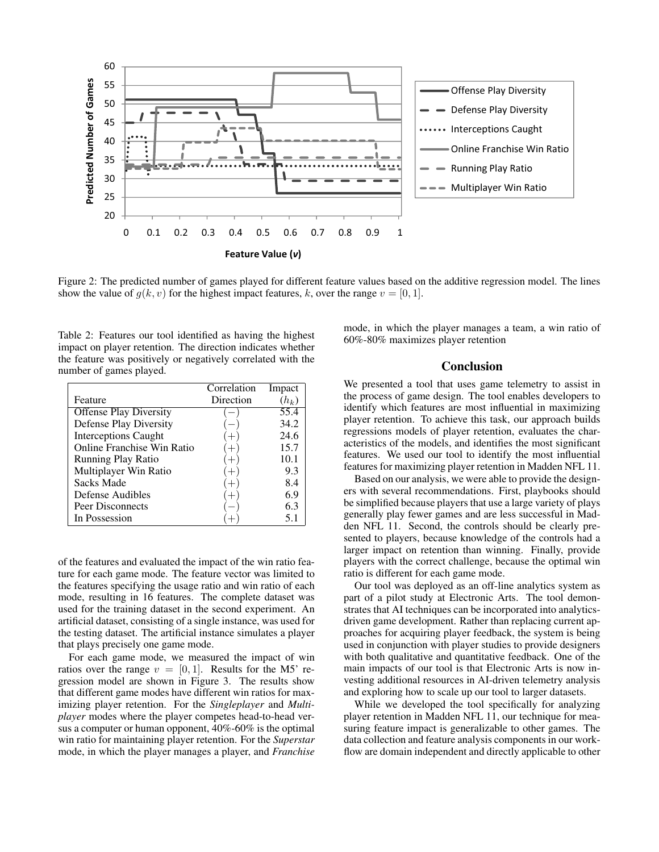

Figure 2: The predicted number of games played for different feature values based on the additive regression model. The lines show the value of  $g(k, v)$  for the highest impact features, k, over the range  $v = [0, 1]$ .

Table 2: Features our tool identified as having the highest impact on player retention. The direction indicates whether the feature was positively or negatively correlated with the number of games played.

|                               | Correlation | Impact  |
|-------------------------------|-------------|---------|
| Feature                       | Direction   | $(h_k)$ |
| <b>Offense Play Diversity</b> |             | 55.4    |
| <b>Defense Play Diversity</b> |             | 34.2    |
| <b>Interceptions Caught</b>   |             | 24.6    |
| Online Franchise Win Ratio    |             | 15.7    |
| <b>Running Play Ratio</b>     |             | 10.1    |
| Multiplayer Win Ratio         |             | 9.3     |
| <b>Sacks Made</b>             |             | 8.4     |
| Defense Audibles              |             | 6.9     |
| Peer Disconnects              |             | 6.3     |
| In Possession                 |             | 5.1     |

of the features and evaluated the impact of the win ratio feature for each game mode. The feature vector was limited to the features specifying the usage ratio and win ratio of each mode, resulting in 16 features. The complete dataset was used for the training dataset in the second experiment. An artificial dataset, consisting of a single instance, was used for the testing dataset. The artificial instance simulates a player that plays precisely one game mode.

For each game mode, we measured the impact of win ratios over the range  $v = [0, 1]$ . Results for the M5' regression model are shown in Figure 3. The results show that different game modes have different win ratios for maximizing player retention. For the *Singleplayer* and *Multiplayer* modes where the player competes head-to-head versus a computer or human opponent, 40%-60% is the optimal win ratio for maintaining player retention. For the *Superstar* mode, in which the player manages a player, and *Franchise* mode, in which the player manages a team, a win ratio of 60%-80% maximizes player retention

#### Conclusion

We presented a tool that uses game telemetry to assist in the process of game design. The tool enables developers to identify which features are most influential in maximizing player retention. To achieve this task, our approach builds regressions models of player retention, evaluates the characteristics of the models, and identifies the most significant features. We used our tool to identify the most influential features for maximizing player retention in Madden NFL 11.

Based on our analysis, we were able to provide the designers with several recommendations. First, playbooks should be simplified because players that use a large variety of plays generally play fewer games and are less successful in Madden NFL 11. Second, the controls should be clearly presented to players, because knowledge of the controls had a larger impact on retention than winning. Finally, provide players with the correct challenge, because the optimal win ratio is different for each game mode.

Our tool was deployed as an off-line analytics system as part of a pilot study at Electronic Arts. The tool demonstrates that AI techniques can be incorporated into analyticsdriven game development. Rather than replacing current approaches for acquiring player feedback, the system is being used in conjunction with player studies to provide designers with both qualitative and quantitative feedback. One of the main impacts of our tool is that Electronic Arts is now investing additional resources in AI-driven telemetry analysis and exploring how to scale up our tool to larger datasets.

While we developed the tool specifically for analyzing player retention in Madden NFL 11, our technique for measuring feature impact is generalizable to other games. The data collection and feature analysis components in our workflow are domain independent and directly applicable to other